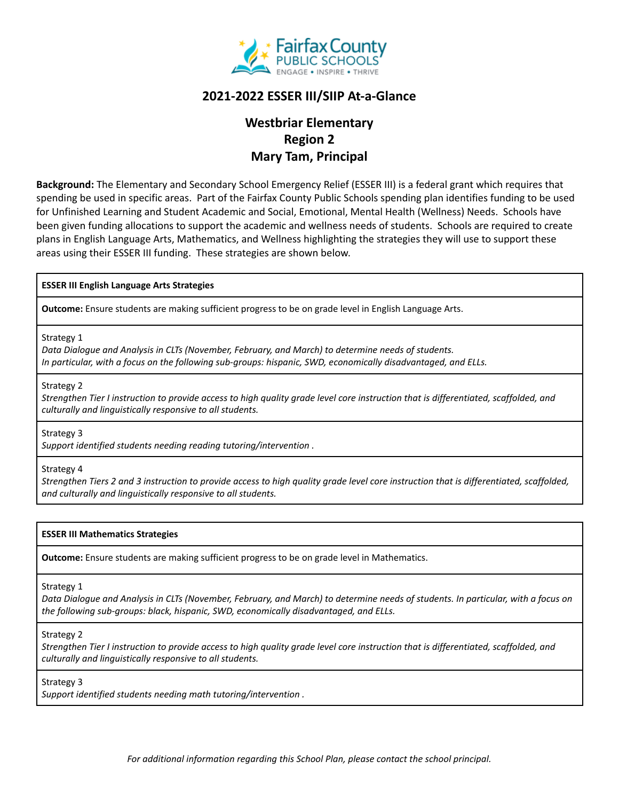

## **2021-2022 ESSER III/SIIP At-a-Glance**

# **Westbriar Elementary Region 2 Mary Tam, Principal**

**Background:** The Elementary and Secondary School Emergency Relief (ESSER III) is a federal grant which requires that spending be used in specific areas. Part of the Fairfax County Public Schools spending plan identifies funding to be used for Unfinished Learning and Student Academic and Social, Emotional, Mental Health (Wellness) Needs. Schools have been given funding allocations to support the academic and wellness needs of students. Schools are required to create plans in English Language Arts, Mathematics, and Wellness highlighting the strategies they will use to support these areas using their ESSER III funding. These strategies are shown below.

### **ESSER III English Language Arts Strategies**

**Outcome:** Ensure students are making sufficient progress to be on grade level in English Language Arts.

Strategy 1

*Data Dialogue and Analysis in CLTs (November, February, and March) to determine needs of students. In particular, with a focus on the following sub-groups: hispanic, SWD, economically disadvantaged, and ELLs.*

Strategy 2

Strengthen Tier I instruction to provide access to high quality grade level core instruction that is differentiated, scaffolded, and *culturally and linguistically responsive to all students.*

Strategy 3

*Support identified students needing reading tutoring/intervention .*

#### Strategy 4

Strengthen Tiers 2 and 3 instruction to provide access to high quality grade level core instruction that is differentiated, scaffolded, *and culturally and linguistically responsive to all students.*

### **ESSER III Mathematics Strategies**

**Outcome:** Ensure students are making sufficient progress to be on grade level in Mathematics.

Strategy 1

Data Dialogue and Analysis in CLTs (November, February, and March) to determine needs of students. In particular, with a focus on *the following sub-groups: black, hispanic, SWD, economically disadvantaged, and ELLs.*

Strategy 2

Strengthen Tier I instruction to provide access to high quality grade level core instruction that is differentiated, scaffolded, and *culturally and linguistically responsive to all students.*

Strategy 3

*Support identified students needing math tutoring/intervention .*